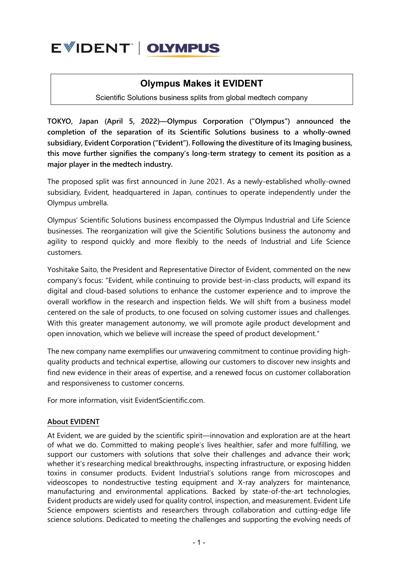

## **Olympus Makes it EVIDENT**

Scientific Solutions business splits from global medtech company

**TOKYO, Japan (April 5, 2022)—Olympus Corporation ("Olympus") announced the completion of the separation of its Scientific Solutions business to a wholly-owned subsidiary, Evident Corporation ("Evident"). Following the divestiture of its Imaging business, this move further signifies the company's long-term strategy to cement its position as a major player in the medtech industry.**

The proposed split was first announced in June 2021. As a newly-established wholly-owned subsidiary, Evident, headquartered in Japan, continues to operate independently under the Olympus umbrella.

Olympus' Scientific Solutions business encompassed the Olympus Industrial and Life Science businesses. The reorganization will give the Scientific Solutions business the autonomy and agility to respond quickly and more flexibly to the needs of Industrial and Life Science customers.

Yoshitake Saito, the President and Representative Director of Evident, commented on the new company's focus: "Evident, while continuing to provide best-in-class products, will expand its digital and cloud-based solutions to enhance the customer experience and to improve the overall workflow in the research and inspection fields. We will shift from a business model centered on the sale of products, to one focused on solving customer issues and challenges. With this greater management autonomy, we will promote agile product development and open innovation, which we believe will increase the speed of product development."

The new company name exemplifies our unwavering commitment to continue providing highquality products and technical expertise, allowing our customers to discover new insights and find new evidence in their areas of expertise, and a renewed focus on customer collaboration and responsiveness to customer concerns.

For more information, visit EvidentScientific.com.

## **About EVIDENT**

At Evident, we are guided by the scientific spirit—innovation and exploration are at the heart of what we do. Committed to making people's lives healthier, safer and more fulfilling, we support our customers with solutions that solve their challenges and advance their work; whether it's researching medical breakthroughs, inspecting infrastructure, or exposing hidden toxins in consumer products. Evident Industrial's solutions range from microscopes and videoscopes to nondestructive testing equipment and X-ray analyzers for maintenance, manufacturing and environmental applications. Backed by state-of-the-art technologies, Evident products are widely used for quality control, inspection, and measurement. Evident Life Science empowers scientists and researchers through collaboration and cutting-edge life science solutions. Dedicated to meeting the challenges and supporting the evolving needs of